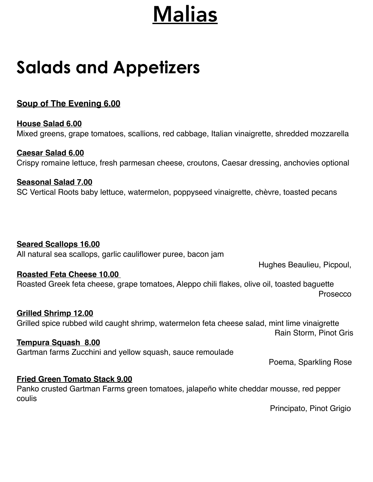## Malias

## **Salads and Appetizers**

### **Soup of The Evening 6.00**

**House Salad 6.00** Mixed greens, grape tomatoes, scallions, red cabbage, Italian vinaigrette, shredded mozzarella

**Caesar Salad 6.00** Crispy romaine lettuce, fresh parmesan cheese, croutons, Caesar dressing, anchovies optional

**Seasonal Salad 7.00** SC Vertical Roots baby lettuce, watermelon, poppyseed vinaigrette, chèvre, toasted pecans

### **Seared Scallops 16.00**

All natural sea scallops, garlic cauliflower puree, bacon jam

Hughes Beaulieu, Picpoul,

### **Roasted Feta Cheese 10.00**

Roasted Greek feta cheese, grape tomatoes, Aleppo chili flakes, olive oil, toasted baguette Prosecco

### **Grilled Shrimp 12.00**

Grilled spice rubbed wild caught shrimp, watermelon feta cheese salad, mint lime vinaigrette Rain Storm, Pinot Gris

### **Tempura Squash 8.00**

Gartman farms Zucchini and yellow squash, sauce remoulade

Poema, Sparkling Rose

### **Fried Green Tomato Stack 9.00**

Panko crusted Gartman Farms green tomatoes, jalapeño white cheddar mousse, red pepper coulis

Principato, Pinot Grigio